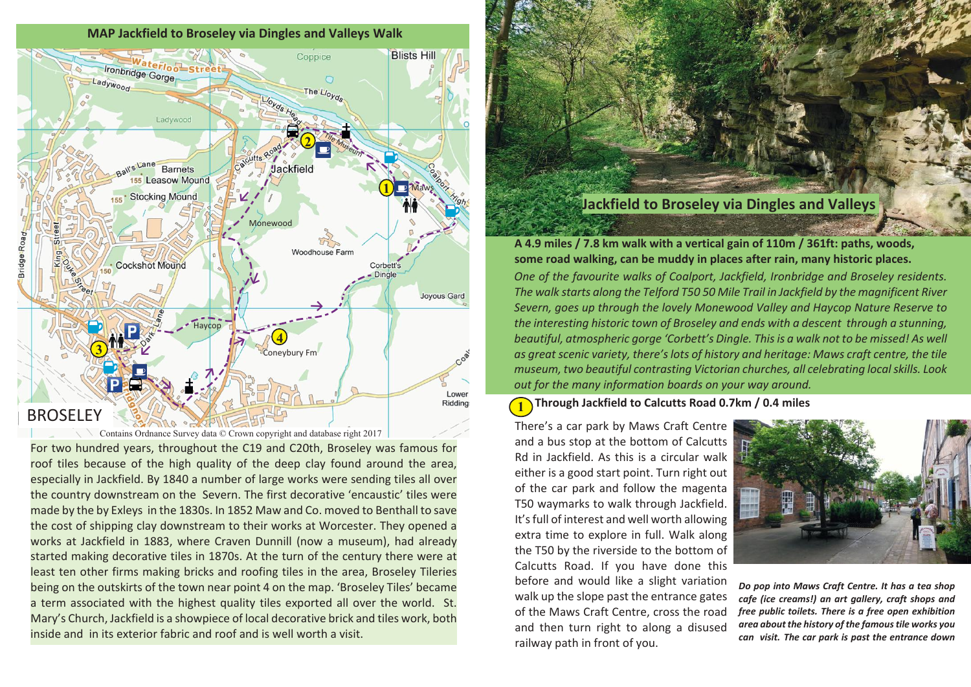

Contains Ordnance Survey data © Crown copyright and database right 2017

For two hundred years, throughout the C19 and C20th, Broseley was famous for roof tiles because of the high quality of the deep clay found around the area, especially in Jackfield. By 1840 a number of large works were sending tiles all over the country downstream on the Severn. The first decorative 'encaustic' tiles were made by the by Exleys in the 1830s. In 1852 Maw and Co. moved to Benthall to save the cost of shipping clay downstream to their works at Worcester. They opened a works at Jackfield in 1883, where Craven Dunnill (now a museum), had already started making decorative tiles in 1870s. At the turn of the century there were at least ten other firms making bricks and roofing tiles in the area, Broseley Tileries being on the outskirts of the town near point 4 on the map. 'Broseley Tiles' became a term associated with the highest quality tiles exported all over the world. St. Mary's Church, Jackfield is a showpiece of local decorative brick and tiles work, both inside and in its exterior fabric and roof and is well worth a visit.

## **Jackfield to Broseley via Dingles and Valleys**

*One of the favourite walks of Coalport, Jackfield, Ironbridge and Broseley residents. The walk starts along the Telford T50 50 Mile Trail in Jackfield by the magnificent River Severn, goes up through the lovely Monewood Valley and Haycop Nature Reserve to the interesting historic town of Broseley and ends with a descent through a stunning, beautiful, atmospheric gorge 'Corbett's Dingle. This is a walk not to be missed! As well as great scenic variety, there's lots of history and heritage: Maws craft centre, the tile museum, two beautiful contrasting Victorian churches, all celebrating local skills. Look out for the many information boards on your way around.* **A 4.9 miles / 7.8 km walk with a vertical gain of 110m / 361ft: paths, woods, some road walking, can be muddy in places after rain, many historic places.**

**1 Through Jackfield to Calcutts Road 0.7km / 0.4 miles**

There's a car park by Maws Craft Centre and a bus stop at the bottom of Calcutts Rd in Jackfield. As this is a circular walk either is a good start point. Turn right out of the car park and follow the magenta T50 waymarks to walk through Jackfield. It's full of interest and well worth allowing extra time to explore in full. Walk along the T50 by the riverside to the bottom of Calcutts Road. If you have done this before and would like a slight variation walk up the slope past the entrance gates of the Maws Craft Centre, cross the road and then turn right to along a disused railway path in front of you.



*Do pop into Maws Craft Centre. It has a tea shop cafe (ice creams!) an art gallery, craft shops and free public toilets. There is a free open exhibition area about the history of the famous tile works you can visit. The car park is past the entrance down*